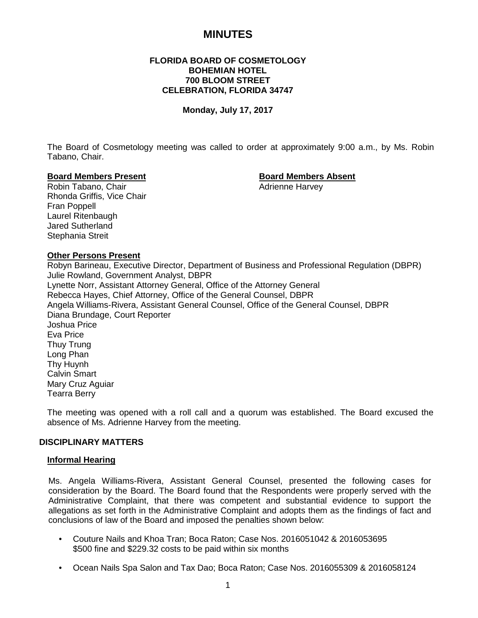# **MINUTES**

# **FLORIDA BOARD OF COSMETOLOGY BOHEMIAN HOTEL 700 BLOOM STREET CELEBRATION, FLORIDA 34747**

# **Monday, July 17, 2017**

The Board of Cosmetology meeting was called to order at approximately 9:00 a.m., by Ms. Robin Tabano, Chair.

#### **Board Members Present Board Members Absent**

Robin Tabano, Chair **Adrienne Harvey Adrienne Harvey** Rhonda Griffis, Vice Chair Fran Poppell Laurel Ritenbaugh Jared Sutherland Stephania Streit

#### **Other Persons Present**

Robyn Barineau, Executive Director, Department of Business and Professional Regulation (DBPR) Julie Rowland, Government Analyst, DBPR Lynette Norr, Assistant Attorney General, Office of the Attorney General Rebecca Hayes, Chief Attorney, Office of the General Counsel, DBPR Angela Williams-Rivera, Assistant General Counsel, Office of the General Counsel, DBPR Diana Brundage, Court Reporter Joshua Price Eva Price Thuy Trung Long Phan Thy Huynh Calvin Smart Mary Cruz Aguiar Tearra Berry

The meeting was opened with a roll call and a quorum was established. The Board excused the absence of Ms. Adrienne Harvey from the meeting.

# **DISCIPLINARY MATTERS**

#### **Informal Hearing**

Ms. Angela Williams-Rivera, Assistant General Counsel, presented the following cases for consideration by the Board. The Board found that the Respondents were properly served with the Administrative Complaint, that there was competent and substantial evidence to support the allegations as set forth in the Administrative Complaint and adopts them as the findings of fact and conclusions of law of the Board and imposed the penalties shown below:

- Couture Nails and Khoa Tran; Boca Raton; Case Nos. 2016051042 & 2016053695 \$500 fine and \$229.32 costs to be paid within six months
- Ocean Nails Spa Salon and Tax Dao; Boca Raton; Case Nos. 2016055309 & 2016058124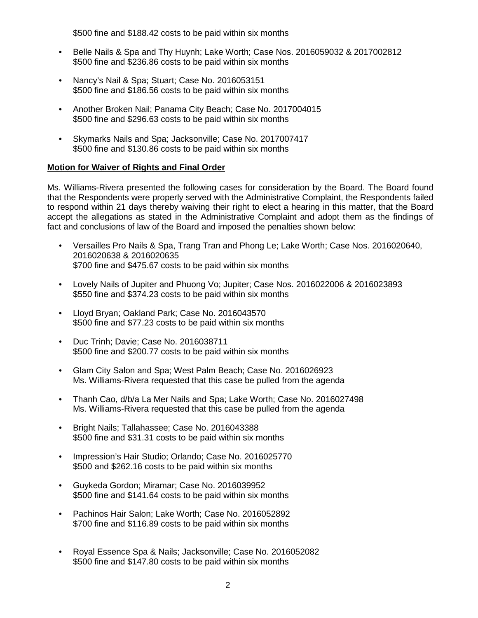\$500 fine and \$188.42 costs to be paid within six months

- Belle Nails & Spa and Thy Huynh; Lake Worth; Case Nos. 2016059032 & 2017002812 \$500 fine and \$236.86 costs to be paid within six months
- Nancy's Nail & Spa; Stuart; Case No. 2016053151 \$500 fine and \$186.56 costs to be paid within six months
- Another Broken Nail; Panama City Beach; Case No. 2017004015 \$500 fine and \$296.63 costs to be paid within six months
- Skymarks Nails and Spa; Jacksonville; Case No. 2017007417 \$500 fine and \$130.86 costs to be paid within six months

# **Motion for Waiver of Rights and Final Order**

Ms. Williams-Rivera presented the following cases for consideration by the Board. The Board found that the Respondents were properly served with the Administrative Complaint, the Respondents failed to respond within 21 days thereby waiving their right to elect a hearing in this matter, that the Board accept the allegations as stated in the Administrative Complaint and adopt them as the findings of fact and conclusions of law of the Board and imposed the penalties shown below:

- Versailles Pro Nails & Spa, Trang Tran and Phong Le; Lake Worth; Case Nos. 2016020640, 2016020638 & 2016020635 \$700 fine and \$475.67 costs to be paid within six months
- Lovely Nails of Jupiter and Phuong Vo; Jupiter; Case Nos. 2016022006 & 2016023893 \$550 fine and \$374.23 costs to be paid within six months
- Lloyd Bryan; Oakland Park; Case No. 2016043570 \$500 fine and \$77.23 costs to be paid within six months
- Duc Trinh; Davie; Case No. 2016038711 \$500 fine and \$200.77 costs to be paid within six months
- Glam City Salon and Spa; West Palm Beach; Case No. 2016026923 Ms. Williams-Rivera requested that this case be pulled from the agenda
- Thanh Cao, d/b/a La Mer Nails and Spa; Lake Worth; Case No. 2016027498 Ms. Williams-Rivera requested that this case be pulled from the agenda
- Bright Nails; Tallahassee; Case No. 2016043388 \$500 fine and \$31.31 costs to be paid within six months
- Impression's Hair Studio; Orlando; Case No. 2016025770 \$500 and \$262.16 costs to be paid within six months
- Guykeda Gordon; Miramar; Case No. 2016039952 \$500 fine and \$141.64 costs to be paid within six months
- Pachinos Hair Salon; Lake Worth; Case No. 2016052892 \$700 fine and \$116.89 costs to be paid within six months
- Royal Essence Spa & Nails; Jacksonville; Case No. 2016052082 \$500 fine and \$147.80 costs to be paid within six months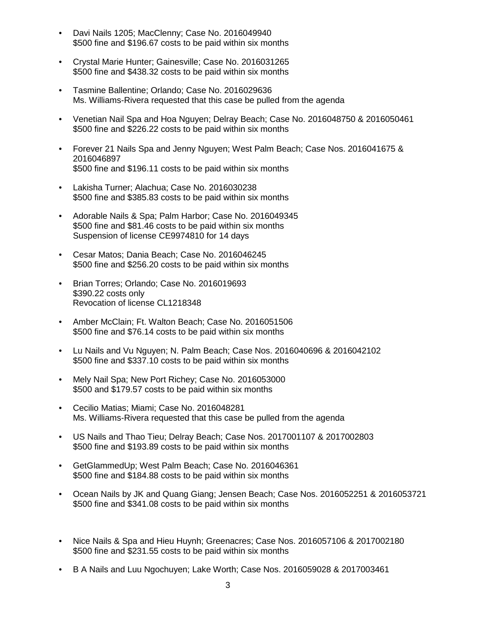- Davi Nails 1205; MacClenny; Case No. 2016049940 \$500 fine and \$196.67 costs to be paid within six months
- Crystal Marie Hunter; Gainesville; Case No. 2016031265 \$500 fine and \$438.32 costs to be paid within six months
- Tasmine Ballentine; Orlando; Case No. 2016029636 Ms. Williams-Rivera requested that this case be pulled from the agenda
- Venetian Nail Spa and Hoa Nguyen; Delray Beach; Case No. 2016048750 & 2016050461 \$500 fine and \$226.22 costs to be paid within six months
- Forever 21 Nails Spa and Jenny Nguyen; West Palm Beach; Case Nos. 2016041675 & 2016046897 \$500 fine and \$196.11 costs to be paid within six months
- Lakisha Turner; Alachua; Case No. 2016030238 \$500 fine and \$385.83 costs to be paid within six months
- Adorable Nails & Spa; Palm Harbor; Case No. 2016049345 \$500 fine and \$81.46 costs to be paid within six months Suspension of license CE9974810 for 14 days
- Cesar Matos; Dania Beach; Case No. 2016046245 \$500 fine and \$256.20 costs to be paid within six months
- Brian Torres; Orlando; Case No. 2016019693 \$390.22 costs only Revocation of license CL1218348
- Amber McClain; Ft. Walton Beach; Case No. 2016051506 \$500 fine and \$76.14 costs to be paid within six months
- Lu Nails and Vu Nguyen; N. Palm Beach; Case Nos. 2016040696 & 2016042102 \$500 fine and \$337.10 costs to be paid within six months
- Mely Nail Spa; New Port Richey; Case No. 2016053000 \$500 and \$179.57 costs to be paid within six months
- Cecilio Matias; Miami; Case No. 2016048281 Ms. Williams-Rivera requested that this case be pulled from the agenda
- US Nails and Thao Tieu; Delray Beach; Case Nos. 2017001107 & 2017002803 \$500 fine and \$193.89 costs to be paid within six months
- GetGlammedUp; West Palm Beach; Case No. 2016046361 \$500 fine and \$184.88 costs to be paid within six months
- Ocean Nails by JK and Quang Giang; Jensen Beach; Case Nos. 2016052251 & 2016053721 \$500 fine and \$341.08 costs to be paid within six months
- Nice Nails & Spa and Hieu Huynh; Greenacres; Case Nos. 2016057106 & 2017002180 \$500 fine and \$231.55 costs to be paid within six months
- B A Nails and Luu Ngochuyen; Lake Worth; Case Nos. 2016059028 & 2017003461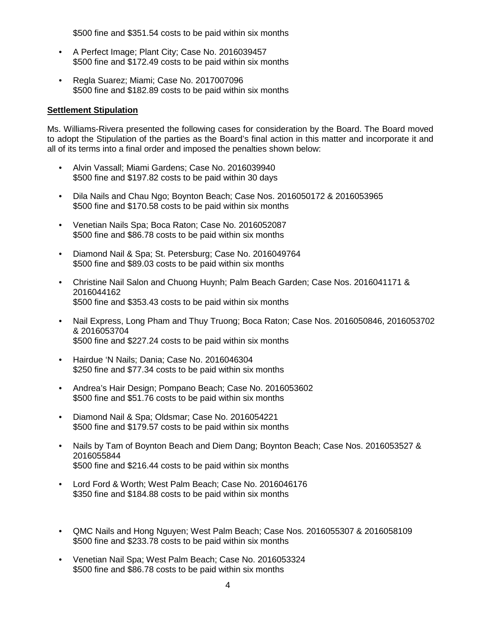\$500 fine and \$351.54 costs to be paid within six months

- A Perfect Image; Plant City; Case No. 2016039457 \$500 fine and \$172.49 costs to be paid within six months
- Regla Suarez; Miami; Case No. 2017007096 \$500 fine and \$182.89 costs to be paid within six months

# **Settlement Stipulation**

Ms. Williams-Rivera presented the following cases for consideration by the Board. The Board moved to adopt the Stipulation of the parties as the Board's final action in this matter and incorporate it and all of its terms into a final order and imposed the penalties shown below:

- Alvin Vassall; Miami Gardens; Case No. 2016039940 \$500 fine and \$197.82 costs to be paid within 30 days
- Dila Nails and Chau Ngo; Boynton Beach; Case Nos. 2016050172 & 2016053965 \$500 fine and \$170.58 costs to be paid within six months
- Venetian Nails Spa; Boca Raton; Case No. 2016052087 \$500 fine and \$86.78 costs to be paid within six months
- Diamond Nail & Spa; St. Petersburg; Case No. 2016049764 \$500 fine and \$89.03 costs to be paid within six months
- Christine Nail Salon and Chuong Huynh; Palm Beach Garden; Case Nos. 2016041171 & 2016044162 \$500 fine and \$353.43 costs to be paid within six months
- Nail Express, Long Pham and Thuy Truong; Boca Raton; Case Nos. 2016050846, 2016053702 & 2016053704 \$500 fine and \$227.24 costs to be paid within six months
- Hairdue 'N Nails; Dania; Case No. 2016046304 \$250 fine and \$77.34 costs to be paid within six months
- Andrea's Hair Design; Pompano Beach; Case No. 2016053602 \$500 fine and \$51.76 costs to be paid within six months
- Diamond Nail & Spa; Oldsmar; Case No. 2016054221 \$500 fine and \$179.57 costs to be paid within six months
- Nails by Tam of Boynton Beach and Diem Dang; Boynton Beach; Case Nos. 2016053527 & 2016055844 \$500 fine and \$216.44 costs to be paid within six months
- Lord Ford & Worth; West Palm Beach; Case No. 2016046176 \$350 fine and \$184.88 costs to be paid within six months
- QMC Nails and Hong Nguyen; West Palm Beach; Case Nos. 2016055307 & 2016058109 \$500 fine and \$233.78 costs to be paid within six months
- Venetian Nail Spa; West Palm Beach; Case No. 2016053324 \$500 fine and \$86.78 costs to be paid within six months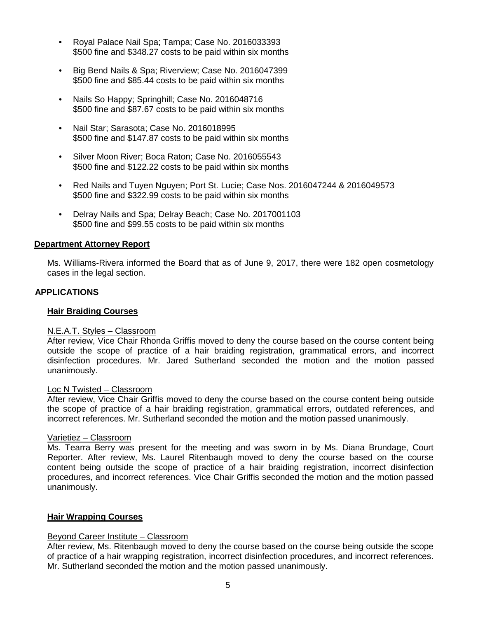- Royal Palace Nail Spa; Tampa; Case No. 2016033393 \$500 fine and \$348.27 costs to be paid within six months
- Big Bend Nails & Spa; Riverview; Case No. 2016047399 \$500 fine and \$85.44 costs to be paid within six months
- Nails So Happy; Springhill; Case No. 2016048716 \$500 fine and \$87.67 costs to be paid within six months
- Nail Star; Sarasota; Case No. 2016018995 \$500 fine and \$147.87 costs to be paid within six months
- Silver Moon River; Boca Raton; Case No. 2016055543 \$500 fine and \$122.22 costs to be paid within six months
- Red Nails and Tuyen Nguyen; Port St. Lucie; Case Nos. 2016047244 & 2016049573 \$500 fine and \$322.99 costs to be paid within six months
- Delray Nails and Spa; Delray Beach; Case No. 2017001103 \$500 fine and \$99.55 costs to be paid within six months

# **Department Attorney Report**

Ms. Williams-Rivera informed the Board that as of June 9, 2017, there were 182 open cosmetology cases in the legal section.

# **APPLICATIONS**

#### **Hair Braiding Courses**

#### N.E.A.T. Styles – Classroom

After review, Vice Chair Rhonda Griffis moved to deny the course based on the course content being outside the scope of practice of a hair braiding registration, grammatical errors, and incorrect disinfection procedures. Mr. Jared Sutherland seconded the motion and the motion passed unanimously.

#### Loc N Twisted – Classroom

After review, Vice Chair Griffis moved to deny the course based on the course content being outside the scope of practice of a hair braiding registration, grammatical errors, outdated references, and incorrect references. Mr. Sutherland seconded the motion and the motion passed unanimously.

#### Varietiez – Classroom

Ms. Tearra Berry was present for the meeting and was sworn in by Ms. Diana Brundage, Court Reporter. After review, Ms. Laurel Ritenbaugh moved to deny the course based on the course content being outside the scope of practice of a hair braiding registration, incorrect disinfection procedures, and incorrect references. Vice Chair Griffis seconded the motion and the motion passed unanimously.

#### **Hair Wrapping Courses**

#### Beyond Career Institute – Classroom

After review, Ms. Ritenbaugh moved to deny the course based on the course being outside the scope of practice of a hair wrapping registration, incorrect disinfection procedures, and incorrect references. Mr. Sutherland seconded the motion and the motion passed unanimously.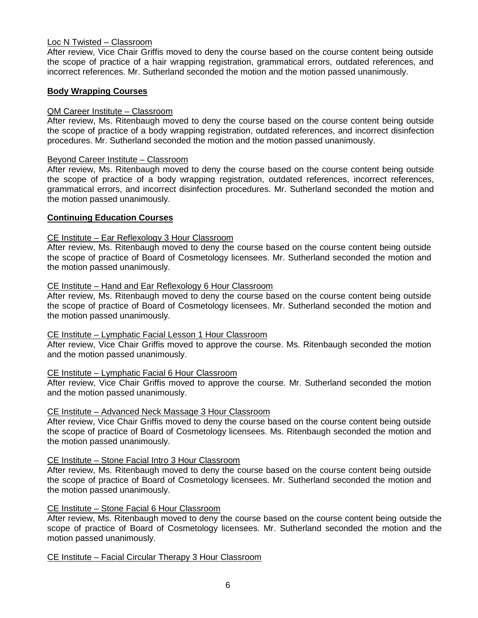# Loc N Twisted – Classroom

After review, Vice Chair Griffis moved to deny the course based on the course content being outside the scope of practice of a hair wrapping registration, grammatical errors, outdated references, and incorrect references. Mr. Sutherland seconded the motion and the motion passed unanimously.

#### **Body Wrapping Courses**

# QM Career Institute – Classroom

After review, Ms. Ritenbaugh moved to deny the course based on the course content being outside the scope of practice of a body wrapping registration, outdated references, and incorrect disinfection procedures. Mr. Sutherland seconded the motion and the motion passed unanimously.

#### Beyond Career Institute – Classroom

After review, Ms. Ritenbaugh moved to deny the course based on the course content being outside the scope of practice of a body wrapping registration, outdated references, incorrect references, grammatical errors, and incorrect disinfection procedures. Mr. Sutherland seconded the motion and the motion passed unanimously.

# **Continuing Education Courses**

# CE Institute – Ear Reflexology 3 Hour Classroom

After review, Ms. Ritenbaugh moved to deny the course based on the course content being outside the scope of practice of Board of Cosmetology licensees. Mr. Sutherland seconded the motion and the motion passed unanimously.

#### CE Institute – Hand and Ear Reflexology 6 Hour Classroom

After review, Ms. Ritenbaugh moved to deny the course based on the course content being outside the scope of practice of Board of Cosmetology licensees. Mr. Sutherland seconded the motion and the motion passed unanimously.

#### CE Institute – Lymphatic Facial Lesson 1 Hour Classroom

After review, Vice Chair Griffis moved to approve the course. Ms. Ritenbaugh seconded the motion and the motion passed unanimously.

#### CE Institute – Lymphatic Facial 6 Hour Classroom

After review, Vice Chair Griffis moved to approve the course. Mr. Sutherland seconded the motion and the motion passed unanimously.

## CE Institute – Advanced Neck Massage 3 Hour Classroom

After review, Vice Chair Griffis moved to deny the course based on the course content being outside the scope of practice of Board of Cosmetology licensees. Ms. Ritenbaugh seconded the motion and the motion passed unanimously.

#### CE Institute – Stone Facial Intro 3 Hour Classroom

After review, Ms. Ritenbaugh moved to deny the course based on the course content being outside the scope of practice of Board of Cosmetology licensees. Mr. Sutherland seconded the motion and the motion passed unanimously.

#### CE Institute – Stone Facial 6 Hour Classroom

After review, Ms. Ritenbaugh moved to deny the course based on the course content being outside the scope of practice of Board of Cosmetology licensees. Mr. Sutherland seconded the motion and the motion passed unanimously.

## CE Institute – Facial Circular Therapy 3 Hour Classroom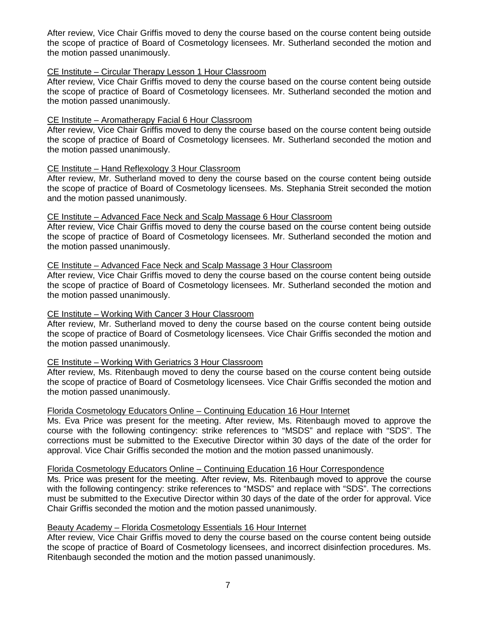After review, Vice Chair Griffis moved to deny the course based on the course content being outside the scope of practice of Board of Cosmetology licensees. Mr. Sutherland seconded the motion and the motion passed unanimously.

# CE Institute – Circular Therapy Lesson 1 Hour Classroom

After review, Vice Chair Griffis moved to deny the course based on the course content being outside the scope of practice of Board of Cosmetology licensees. Mr. Sutherland seconded the motion and the motion passed unanimously.

# CE Institute – Aromatherapy Facial 6 Hour Classroom

After review, Vice Chair Griffis moved to deny the course based on the course content being outside the scope of practice of Board of Cosmetology licensees. Mr. Sutherland seconded the motion and the motion passed unanimously.

# CE Institute – Hand Reflexology 3 Hour Classroom

After review, Mr. Sutherland moved to deny the course based on the course content being outside the scope of practice of Board of Cosmetology licensees. Ms. Stephania Streit seconded the motion and the motion passed unanimously.

# CE Institute – Advanced Face Neck and Scalp Massage 6 Hour Classroom

After review, Vice Chair Griffis moved to deny the course based on the course content being outside the scope of practice of Board of Cosmetology licensees. Mr. Sutherland seconded the motion and the motion passed unanimously.

# CE Institute – Advanced Face Neck and Scalp Massage 3 Hour Classroom

After review, Vice Chair Griffis moved to deny the course based on the course content being outside the scope of practice of Board of Cosmetology licensees. Mr. Sutherland seconded the motion and the motion passed unanimously.

# CE Institute – Working With Cancer 3 Hour Classroom

After review, Mr. Sutherland moved to deny the course based on the course content being outside the scope of practice of Board of Cosmetology licensees. Vice Chair Griffis seconded the motion and the motion passed unanimously.

# CE Institute – Working With Geriatrics 3 Hour Classroom

After review, Ms. Ritenbaugh moved to deny the course based on the course content being outside the scope of practice of Board of Cosmetology licensees. Vice Chair Griffis seconded the motion and the motion passed unanimously.

# Florida Cosmetology Educators Online – Continuing Education 16 Hour Internet

Ms. Eva Price was present for the meeting. After review, Ms. Ritenbaugh moved to approve the course with the following contingency: strike references to "MSDS" and replace with "SDS". The corrections must be submitted to the Executive Director within 30 days of the date of the order for approval. Vice Chair Griffis seconded the motion and the motion passed unanimously.

#### Florida Cosmetology Educators Online – Continuing Education 16 Hour Correspondence

Ms. Price was present for the meeting. After review, Ms. Ritenbaugh moved to approve the course with the following contingency: strike references to "MSDS" and replace with "SDS". The corrections must be submitted to the Executive Director within 30 days of the date of the order for approval. Vice Chair Griffis seconded the motion and the motion passed unanimously.

# Beauty Academy – Florida Cosmetology Essentials 16 Hour Internet

After review, Vice Chair Griffis moved to deny the course based on the course content being outside the scope of practice of Board of Cosmetology licensees, and incorrect disinfection procedures. Ms. Ritenbaugh seconded the motion and the motion passed unanimously.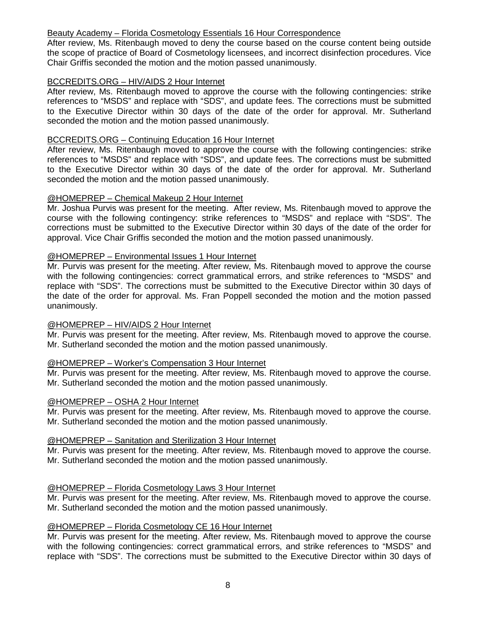# Beauty Academy – Florida Cosmetology Essentials 16 Hour Correspondence

After review, Ms. Ritenbaugh moved to deny the course based on the course content being outside the scope of practice of Board of Cosmetology licensees, and incorrect disinfection procedures. Vice Chair Griffis seconded the motion and the motion passed unanimously.

# BCCREDITS.ORG – HIV/AIDS 2 Hour Internet

After review, Ms. Ritenbaugh moved to approve the course with the following contingencies: strike references to "MSDS" and replace with "SDS", and update fees. The corrections must be submitted to the Executive Director within 30 days of the date of the order for approval. Mr. Sutherland seconded the motion and the motion passed unanimously.

# BCCREDITS.ORG – Continuing Education 16 Hour Internet

After review, Ms. Ritenbaugh moved to approve the course with the following contingencies: strike references to "MSDS" and replace with "SDS", and update fees. The corrections must be submitted to the Executive Director within 30 days of the date of the order for approval. Mr. Sutherland seconded the motion and the motion passed unanimously.

# @HOMEPREP – Chemical Makeup 2 Hour Internet

Mr. Joshua Purvis was present for the meeting. After review, Ms. Ritenbaugh moved to approve the course with the following contingency: strike references to "MSDS" and replace with "SDS". The corrections must be submitted to the Executive Director within 30 days of the date of the order for approval. Vice Chair Griffis seconded the motion and the motion passed unanimously.

# @HOMEPREP – Environmental Issues 1 Hour Internet

Mr. Purvis was present for the meeting. After review, Ms. Ritenbaugh moved to approve the course with the following contingencies: correct grammatical errors, and strike references to "MSDS" and replace with "SDS". The corrections must be submitted to the Executive Director within 30 days of the date of the order for approval. Ms. Fran Poppell seconded the motion and the motion passed unanimously.

# @HOMEPREP – HIV/AIDS 2 Hour Internet

Mr. Purvis was present for the meeting. After review, Ms. Ritenbaugh moved to approve the course. Mr. Sutherland seconded the motion and the motion passed unanimously.

# @HOMEPREP – Worker's Compensation 3 Hour Internet

Mr. Purvis was present for the meeting. After review, Ms. Ritenbaugh moved to approve the course. Mr. Sutherland seconded the motion and the motion passed unanimously.

#### @HOMEPREP – OSHA 2 Hour Internet

Mr. Purvis was present for the meeting. After review, Ms. Ritenbaugh moved to approve the course. Mr. Sutherland seconded the motion and the motion passed unanimously.

# @HOMEPREP – Sanitation and Sterilization 3 Hour Internet

Mr. Purvis was present for the meeting. After review, Ms. Ritenbaugh moved to approve the course. Mr. Sutherland seconded the motion and the motion passed unanimously.

#### @HOMEPREP – Florida Cosmetology Laws 3 Hour Internet

Mr. Purvis was present for the meeting. After review, Ms. Ritenbaugh moved to approve the course. Mr. Sutherland seconded the motion and the motion passed unanimously.

#### @HOMEPREP – Florida Cosmetology CE 16 Hour Internet

Mr. Purvis was present for the meeting. After review, Ms. Ritenbaugh moved to approve the course with the following contingencies: correct grammatical errors, and strike references to "MSDS" and replace with "SDS". The corrections must be submitted to the Executive Director within 30 days of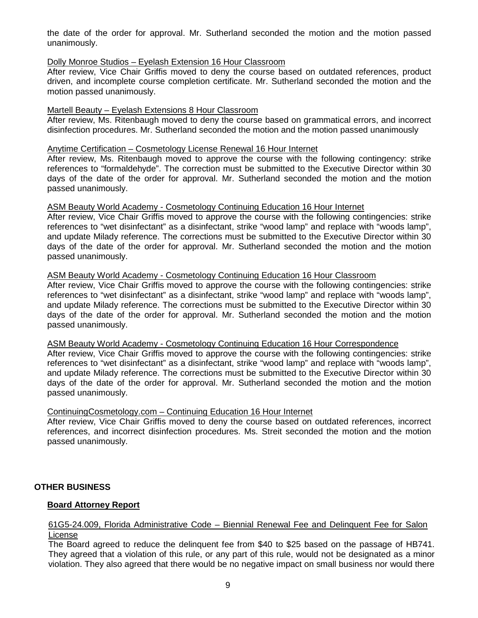the date of the order for approval. Mr. Sutherland seconded the motion and the motion passed unanimously.

# Dolly Monroe Studios – Eyelash Extension 16 Hour Classroom

After review, Vice Chair Griffis moved to deny the course based on outdated references, product driven, and incomplete course completion certificate. Mr. Sutherland seconded the motion and the motion passed unanimously.

# Martell Beauty – Eyelash Extensions 8 Hour Classroom

After review, Ms. Ritenbaugh moved to deny the course based on grammatical errors, and incorrect disinfection procedures. Mr. Sutherland seconded the motion and the motion passed unanimously

#### Anytime Certification – Cosmetology License Renewal 16 Hour Internet

After review, Ms. Ritenbaugh moved to approve the course with the following contingency: strike references to "formaldehyde". The correction must be submitted to the Executive Director within 30 days of the date of the order for approval. Mr. Sutherland seconded the motion and the motion passed unanimously.

#### ASM Beauty World Academy - Cosmetology Continuing Education 16 Hour Internet

After review, Vice Chair Griffis moved to approve the course with the following contingencies: strike references to "wet disinfectant" as a disinfectant, strike "wood lamp" and replace with "woods lamp", and update Milady reference. The corrections must be submitted to the Executive Director within 30 days of the date of the order for approval. Mr. Sutherland seconded the motion and the motion passed unanimously.

# ASM Beauty World Academy - Cosmetology Continuing Education 16 Hour Classroom

After review, Vice Chair Griffis moved to approve the course with the following contingencies: strike references to "wet disinfectant" as a disinfectant, strike "wood lamp" and replace with "woods lamp", and update Milady reference. The corrections must be submitted to the Executive Director within 30 days of the date of the order for approval. Mr. Sutherland seconded the motion and the motion passed unanimously.

# ASM Beauty World Academy - Cosmetology Continuing Education 16 Hour Correspondence

After review, Vice Chair Griffis moved to approve the course with the following contingencies: strike references to "wet disinfectant" as a disinfectant, strike "wood lamp" and replace with "woods lamp", and update Milady reference. The corrections must be submitted to the Executive Director within 30 days of the date of the order for approval. Mr. Sutherland seconded the motion and the motion passed unanimously.

# ContinuingCosmetology.com – Continuing Education 16 Hour Internet

After review, Vice Chair Griffis moved to deny the course based on outdated references, incorrect references, and incorrect disinfection procedures. Ms. Streit seconded the motion and the motion passed unanimously.

# **OTHER BUSINESS**

# **Board Attorney Report**

# 61G5-24.009, Florida Administrative Code – Biennial Renewal Fee and Delinquent Fee for Salon License

The Board agreed to reduce the delinquent fee from \$40 to \$25 based on the passage of HB741. They agreed that a violation of this rule, or any part of this rule, would not be designated as a minor violation. They also agreed that there would be no negative impact on small business nor would there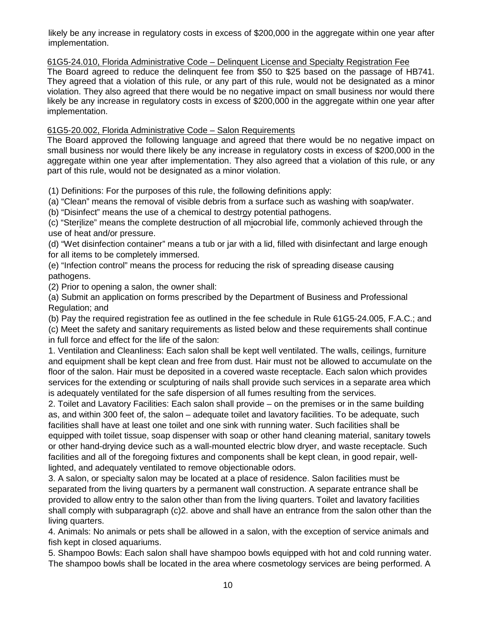likely be any increase in regulatory costs in excess of \$200,000 in the aggregate within one year after implementation.

61G5-24.010, Florida Administrative Code – Delinquent License and Specialty Registration Fee

The Board agreed to reduce the delinquent fee from \$50 to \$25 based on the passage of HB741. They agreed that a violation of this rule, or any part of this rule, would not be designated as a minor violation. They also agreed that there would be no negative impact on small business nor would there likely be any increase in regulatory costs in excess of \$200,000 in the aggregate within one year after implementation.

# 61G5-20.002, Florida Administrative Code – Salon Requirements

The Board approved the following language and agreed that there would be no negative impact on small business nor would there likely be any increase in regulatory costs in excess of \$200,000 in the aggregate within one year after implementation. They also agreed that a violation of this rule, or any part of this rule, would not be designated as a minor violation.

(1) Definitions: For the purposes of this rule, the following definitions apply:

(a) "Clean" means the removal of visible debris from a surface such as washing with soap/water.

(b) "Disinfect" means the use of a chemical to destroy potential pathogens.

(c) "Sterilize" means the complete destruction of all miocrobial life, commonly achieved through the use of heat and/or pressure.

(d) "Wet disinfection container" means a tub or jar with a lid, filled with disinfectant and large enough for all items to be completely immersed.

(e) "Infection control" means the process for reducing the risk of spreading disease causing pathogens.

(2) Prior to opening a salon, the owner shall:

(a) Submit an application on forms prescribed by the Department of Business and Professional Regulation; and

(b) Pay the required registration fee as outlined in the fee schedule in Rule 61G5-24.005, F.A.C.; and

(c) Meet the safety and sanitary requirements as listed below and these requirements shall continue in full force and effect for the life of the salon:

1. Ventilation and Cleanliness: Each salon shall be kept well ventilated. The walls, ceilings, furniture and equipment shall be kept clean and free from dust. Hair must not be allowed to accumulate on the floor of the salon. Hair must be deposited in a covered waste receptacle. Each salon which provides services for the extending or sculpturing of nails shall provide such services in a separate area which is adequately ventilated for the safe dispersion of all fumes resulting from the services.

2. Toilet and Lavatory Facilities: Each salon shall provide – on the premises or in the same building as, and within 300 feet of, the salon – adequate toilet and lavatory facilities. To be adequate, such facilities shall have at least one toilet and one sink with running water. Such facilities shall be equipped with toilet tissue, soap dispenser with soap or other hand cleaning material, sanitary towels or other hand-drying device such as a wall-mounted electric blow dryer, and waste receptacle. Such facilities and all of the foregoing fixtures and components shall be kept clean, in good repair, welllighted, and adequately ventilated to remove objectionable odors.

3. A salon, or specialty salon may be located at a place of residence. Salon facilities must be separated from the living quarters by a permanent wall construction. A separate entrance shall be provided to allow entry to the salon other than from the living quarters. Toilet and lavatory facilities shall comply with subparagraph (c)2. above and shall have an entrance from the salon other than the living quarters.

4. Animals: No animals or pets shall be allowed in a salon, with the exception of service animals and fish kept in closed aquariums.

5. Shampoo Bowls: Each salon shall have shampoo bowls equipped with hot and cold running water. The shampoo bowls shall be located in the area where cosmetology services are being performed. A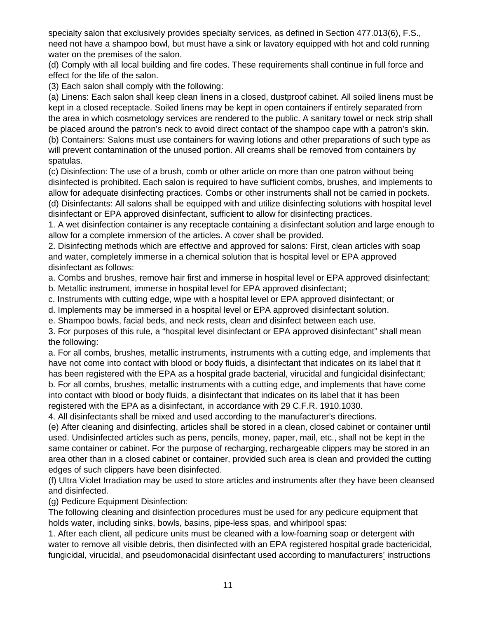specialty salon that exclusively provides specialty services, as defined in Section 477.013(6), F.S., need not have a shampoo bowl, but must have a sink or lavatory equipped with hot and cold running water on the premises of the salon.

(d) Comply with all local building and fire codes. These requirements shall continue in full force and effect for the life of the salon.

(3) Each salon shall comply with the following:

(a) Linens: Each salon shall keep clean linens in a closed, dustproof cabinet. All soiled linens must be kept in a closed receptacle. Soiled linens may be kept in open containers if entirely separated from the area in which cosmetology services are rendered to the public. A sanitary towel or neck strip shall be placed around the patron's neck to avoid direct contact of the shampoo cape with a patron's skin.

(b) Containers: Salons must use containers for waving lotions and other preparations of such type as will prevent contamination of the unused portion. All creams shall be removed from containers by spatulas.

(c) Disinfection: The use of a brush, comb or other article on more than one patron without being disinfected is prohibited. Each salon is required to have sufficient combs, brushes, and implements to allow for adequate disinfecting practices. Combs or other instruments shall not be carried in pockets. (d) Disinfectants: All salons shall be equipped with and utilize disinfecting solutions with hospital level disinfectant or EPA approved disinfectant, sufficient to allow for disinfecting practices.

1. A wet disinfection container is any receptacle containing a disinfectant solution and large enough to allow for a complete immersion of the articles. A cover shall be provided.

2. Disinfecting methods which are effective and approved for salons: First, clean articles with soap and water, completely immerse in a chemical solution that is hospital level or EPA approved disinfectant as follows:

a. Combs and brushes, remove hair first and immerse in hospital level or EPA approved disinfectant;

b. Metallic instrument, immerse in hospital level for EPA approved disinfectant;

c. Instruments with cutting edge, wipe with a hospital level or EPA approved disinfectant; or

d. Implements may be immersed in a hospital level or EPA approved disinfectant solution.

e. Shampoo bowls, facial beds, and neck rests, clean and disinfect between each use.

3. For purposes of this rule, a "hospital level disinfectant or EPA approved disinfectant" shall mean the following:

a. For all combs, brushes, metallic instruments, instruments with a cutting edge, and implements that have not come into contact with blood or body fluids, a disinfectant that indicates on its label that it has been registered with the EPA as a hospital grade bacterial, virucidal and fungicidal disinfectant; b. For all combs, brushes, metallic instruments with a cutting edge, and implements that have come into contact with blood or body fluids, a disinfectant that indicates on its label that it has been registered with the EPA as a disinfectant, in accordance with 29 C.F.R. 1910.1030.

4. All disinfectants shall be mixed and used according to the manufacturer's directions.

(e) After cleaning and disinfecting, articles shall be stored in a clean, closed cabinet or container until used. Undisinfected articles such as pens, pencils, money, paper, mail, etc., shall not be kept in the same container or cabinet. For the purpose of recharging, rechargeable clippers may be stored in an area other than in a closed cabinet or container, provided such area is clean and provided the cutting edges of such clippers have been disinfected.

(f) Ultra Violet Irradiation may be used to store articles and instruments after they have been cleansed and disinfected.

(g) Pedicure Equipment Disinfection:

The following cleaning and disinfection procedures must be used for any pedicure equipment that holds water, including sinks, bowls, basins, pipe-less spas, and whirlpool spas:

1. After each client, all pedicure units must be cleaned with a low-foaming soap or detergent with water to remove all visible debris, then disinfected with an EPA registered hospital grade bactericidal, fungicidal, virucidal, and pseudomonacidal disinfectant used according to manufacturers' instructions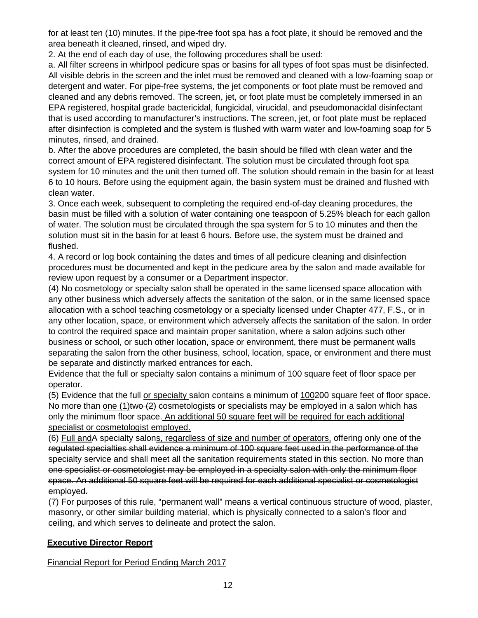for at least ten (10) minutes. If the pipe-free foot spa has a foot plate, it should be removed and the area beneath it cleaned, rinsed, and wiped dry.

2. At the end of each day of use, the following procedures shall be used:

a. All filter screens in whirlpool pedicure spas or basins for all types of foot spas must be disinfected. All visible debris in the screen and the inlet must be removed and cleaned with a low-foaming soap or detergent and water. For pipe-free systems, the jet components or foot plate must be removed and cleaned and any debris removed. The screen, jet, or foot plate must be completely immersed in an EPA registered, hospital grade bactericidal, fungicidal, virucidal, and pseudomonacidal disinfectant that is used according to manufacturer's instructions. The screen, jet, or foot plate must be replaced after disinfection is completed and the system is flushed with warm water and low-foaming soap for 5 minutes, rinsed, and drained.

b. After the above procedures are completed, the basin should be filled with clean water and the correct amount of EPA registered disinfectant. The solution must be circulated through foot spa system for 10 minutes and the unit then turned off. The solution should remain in the basin for at least 6 to 10 hours. Before using the equipment again, the basin system must be drained and flushed with clean water.

3. Once each week, subsequent to completing the required end-of-day cleaning procedures, the basin must be filled with a solution of water containing one teaspoon of 5.25% bleach for each gallon of water. The solution must be circulated through the spa system for 5 to 10 minutes and then the solution must sit in the basin for at least 6 hours. Before use, the system must be drained and flushed.

4. A record or log book containing the dates and times of all pedicure cleaning and disinfection procedures must be documented and kept in the pedicure area by the salon and made available for review upon request by a consumer or a Department inspector.

(4) No cosmetology or specialty salon shall be operated in the same licensed space allocation with any other business which adversely affects the sanitation of the salon, or in the same licensed space allocation with a school teaching cosmetology or a specialty licensed under Chapter 477, F.S., or in any other location, space, or environment which adversely affects the sanitation of the salon. In order to control the required space and maintain proper sanitation, where a salon adjoins such other business or school, or such other location, space or environment, there must be permanent walls separating the salon from the other business, school, location, space, or environment and there must be separate and distinctly marked entrances for each.

Evidence that the full or specialty salon contains a minimum of 100 square feet of floor space per operator.

(5) Evidence that the full or specialty salon contains a minimum of 100200 square feet of floor space. No more than one  $(1)$ two  $(2)$  cosmetologists or specialists may be employed in a salon which has only the minimum floor space. An additional 50 square feet will be required for each additional specialist or cosmetologist employed.

(6) Full andA specialty salons, regardless of size and number of operators, offering only one of the regulated specialties shall evidence a minimum of 100 square feet used in the performance of the specialty service and shall meet all the sanitation requirements stated in this section. No more than one specialist or cosmetologist may be employed in a specialty salon with only the minimum floor space. An additional 50 square feet will be required for each additional specialist or cosmetologist employed.

(7) For purposes of this rule, "permanent wall" means a vertical continuous structure of wood, plaster, masonry, or other similar building material, which is physically connected to a salon's floor and ceiling, and which serves to delineate and protect the salon.

# **Executive Director Report**

Financial Report for Period Ending March 2017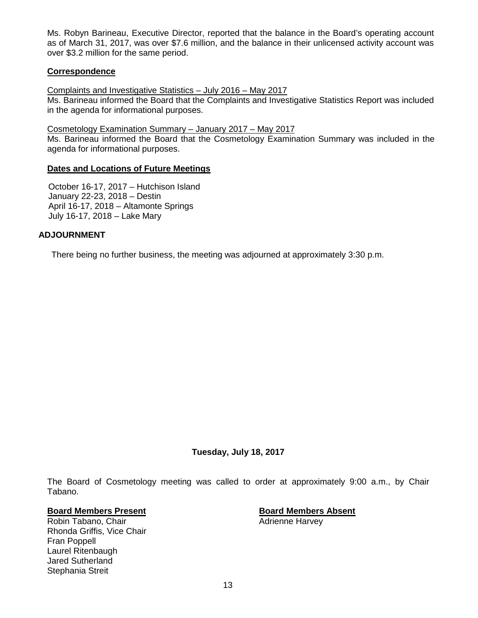Ms. Robyn Barineau, Executive Director, reported that the balance in the Board's operating account as of March 31, 2017, was over \$7.6 million, and the balance in their unlicensed activity account was over \$3.2 million for the same period.

# **Correspondence**

Complaints and Investigative Statistics – July 2016 – May 2017

Ms. Barineau informed the Board that the Complaints and Investigative Statistics Report was included in the agenda for informational purposes.

Cosmetology Examination Summary – January 2017 – May 2017

Ms. Barineau informed the Board that the Cosmetology Examination Summary was included in the agenda for informational purposes.

#### **Dates and Locations of Future Meetings**

October 16-17, 2017 – Hutchison Island January 22-23, 2018 – Destin April 16-17, 2018 – Altamonte Springs July 16-17, 2018 – Lake Mary

# **ADJOURNMENT**

There being no further business, the meeting was adjourned at approximately 3:30 p.m.

**Tuesday, July 18, 2017** 

The Board of Cosmetology meeting was called to order at approximately 9:00 a.m., by Chair Tabano.

# **Board Members Present Board Members Absent**

Robin Tabano, Chair **Adrienne Harvey Adrienne Harvey** Rhonda Griffis, Vice Chair Fran Poppell Laurel Ritenbaugh Jared Sutherland Stephania Streit